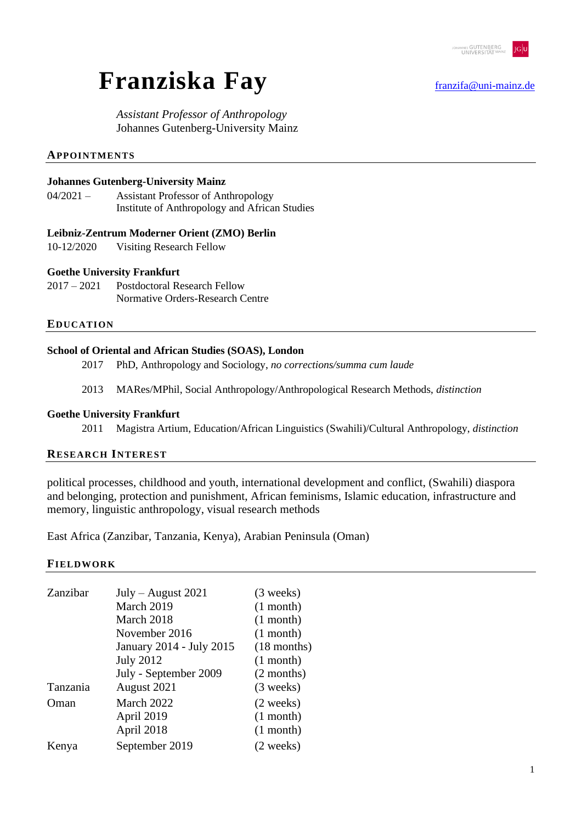

# **Franziska Fay** [franzifa@uni-mainz.de](mailto:franzifa@uni-mainz.de)

*Assistant Professor of Anthropology* Johannes Gutenberg-University Mainz

#### **APPOINTMENTS**

#### **Johannes Gutenberg-University Mainz**

04/2021 – Assistant Professor of Anthropology Institute of Anthropology and African Studies

#### **Leibniz-Zentrum Moderner Orient (ZMO) Berlin**

10-12/2020 Visiting Research Fellow

#### **Goethe University Frankfurt**

2017 – 2021 Postdoctoral Research Fellow Normative Orders-Research Centre

#### **EDUCATION**

#### **School of Oriental and African Studies (SOAS), London**

- 2017 PhD, Anthropology and Sociology, *no corrections/summa cum laude*
- 2013 MARes/MPhil, Social Anthropology/Anthropological Research Methods, *distinction*

#### **Goethe University Frankfurt**

2011 Magistra Artium, Education/African Linguistics (Swahili)/Cultural Anthropology, *distinction*

#### **RESEARCH INTEREST**

political processes, childhood and youth, international development and conflict, (Swahili) diaspora and belonging, protection and punishment, African feminisms, Islamic education, infrastructure and memory, linguistic anthropology, visual research methods

East Africa (Zanzibar, Tanzania, Kenya), Arabian Peninsula (Oman)

#### **FIELDWORK**

| Zanzibar | $July - August 2021$     | $(3 \text{ weeks})$ |
|----------|--------------------------|---------------------|
|          | March 2019               | $(1$ month)         |
|          | March 2018               | $(1$ month)         |
|          | November 2016            | $(1$ month)         |
|          | January 2014 - July 2015 | $(18$ months)       |
|          | <b>July 2012</b>         | $(1$ month)         |
|          | July - September 2009    | (2 months)          |
| Tanzania | August 2021              | $(3$ weeks)         |
| Oman     | March 2022               | (2 weeks)           |
|          | April 2019               | $(1$ month)         |
|          | April 2018               | $(1$ month)         |
| Kenya    | September 2019           | (2 weeks)           |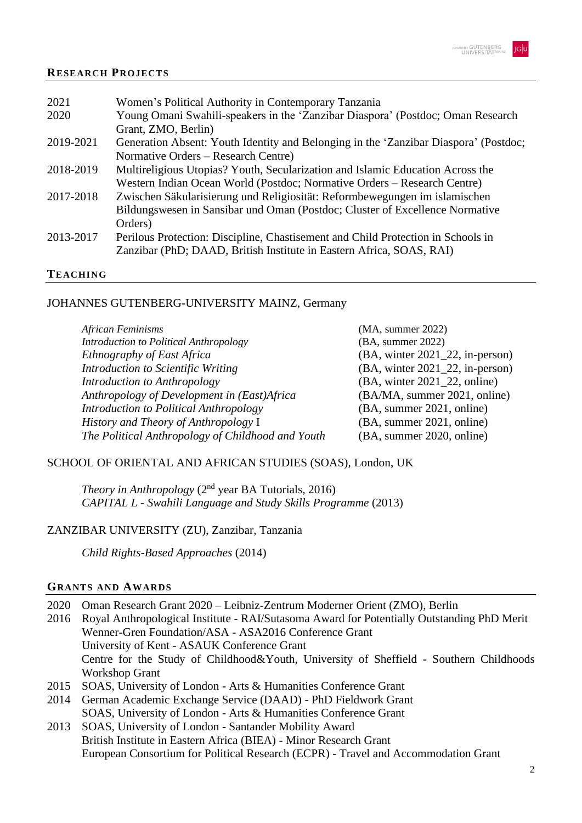# **RESEARCH PROJECTS**

| 2021      | Women's Political Authority in Contemporary Tanzania                                 |
|-----------|--------------------------------------------------------------------------------------|
| 2020      | Young Omani Swahili-speakers in the 'Zanzibar Diaspora' (Postdoc; Oman Research      |
|           | Grant, ZMO, Berlin)                                                                  |
| 2019-2021 | Generation Absent: Youth Identity and Belonging in the 'Zanzibar Diaspora' (Postdoc; |
|           | Normative Orders – Research Centre)                                                  |
| 2018-2019 | Multireligious Utopias? Youth, Secularization and Islamic Education Across the       |
|           | Western Indian Ocean World (Postdoc; Normative Orders - Research Centre)             |
| 2017-2018 | Zwischen Säkularisierung und Religiosität: Reformbewegungen im islamischen           |
|           | Bildungswesen in Sansibar und Oman (Postdoc; Cluster of Excellence Normative         |
|           | Orders)                                                                              |
| 2013-2017 | Perilous Protection: Discipline, Chastisement and Child Protection in Schools in     |
|           | Zanzibar (PhD; DAAD, British Institute in Eastern Africa, SOAS, RAI)                 |
|           |                                                                                      |

#### **TEACHING**

# JOHANNES GUTENBERG-UNIVERSITY MAINZ, Germany

| (MA, summer 2022)                     |
|---------------------------------------|
| (BA, summer 2022)                     |
| $(BA,$ winter $2021\_22$ , in-person) |
| (BA, winter 2021_22, in-person)       |
| $(BA,$ winter $2021\_22$ , online)    |
| (BA/MA, summer 2021, online)          |
| (BA, summer 2021, online)             |
| (BA, summer 2021, online)             |
| (BA, summer 2020, online)             |
|                                       |

# SCHOOL OF ORIENTAL AND AFRICAN STUDIES (SOAS), London, UK

*Theory in Anthropology*  $(2<sup>nd</sup>$  year BA Tutorials, 2016) *CAPITAL L - Swahili Language and Study Skills Programme* (2013)

# ZANZIBAR UNIVERSITY (ZU), Zanzibar, Tanzania

*Child Rights-Based Approaches* (2014)

# **GRANTS AND AWARDS**

| 2020 | Oman Research Grant 2020 – Leibniz-Zentrum Moderner Orient (ZMO), Berlin                   |
|------|--------------------------------------------------------------------------------------------|
| 2016 | Royal Anthropological Institute - RAI/Sutasoma Award for Potentially Outstanding PhD Merit |
|      | Wenner-Gren Foundation/ASA - ASA2016 Conference Grant                                      |
|      | University of Kent - ASAUK Conference Grant                                                |
|      | Centre for the Study of Childhood&Youth, University of Sheffield - Southern Childhoods     |
|      | <b>Workshop Grant</b>                                                                      |
| 2015 | SOAS, University of London - Arts & Humanities Conference Grant                            |
| 2014 | German Academic Exchange Service (DAAD) - PhD Fieldwork Grant                              |
|      | SOAS, University of London - Arts & Humanities Conference Grant                            |
|      | 2013 SOAS, University of London - Santander Mobility Award                                 |

University of London - Santander Mobility Award British Institute in Eastern Africa (BIEA) - Minor Research Grant European Consortium for Political Research (ECPR) - Travel and Accommodation Grant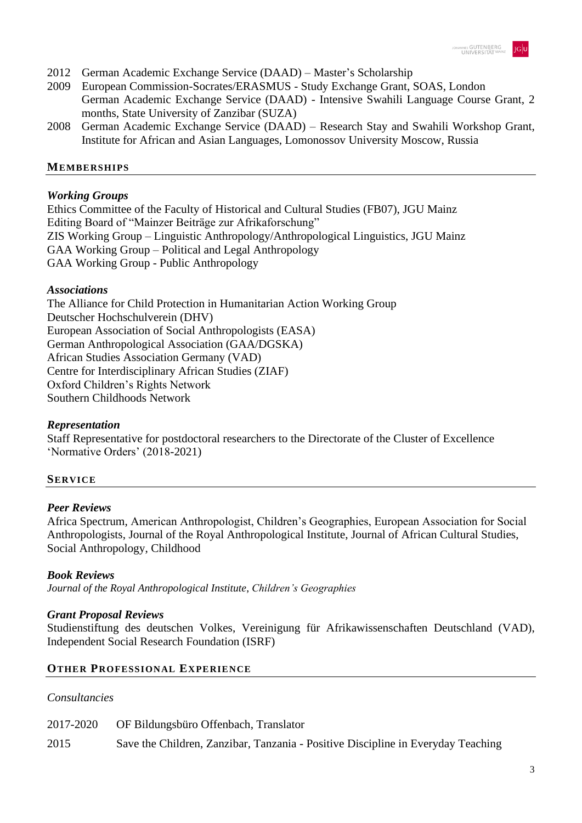

- 2012 German Academic Exchange Service (DAAD) Master's Scholarship
- 2009 European Commission-Socrates/ERASMUS Study Exchange Grant, SOAS, London German Academic Exchange Service (DAAD) - Intensive Swahili Language Course Grant, 2 months, State University of Zanzibar (SUZA)
- 2008 German Academic Exchange Service (DAAD) Research Stay and Swahili Workshop Grant, Institute for African and Asian Languages, Lomonossov University Moscow, Russia

# **MEMBERSHIPS**

# *Working Groups*

Ethics Committee of the Faculty of Historical and Cultural Studies (FB07), JGU Mainz Editing Board of "Mainzer Beiträge zur Afrikaforschung" ZIS Working Group – Linguistic Anthropology/Anthropological Linguistics, JGU Mainz GAA Working Group – Political and Legal Anthropology GAA Working Group - Public Anthropology

# *Associations*

The Alliance for Child Protection in Humanitarian Action Working Group Deutscher Hochschulverein (DHV) European Association of Social Anthropologists (EASA) German Anthropological Association (GAA/DGSKA) African Studies Association Germany (VAD) Centre for Interdisciplinary African Studies (ZIAF) Oxford Children's Rights Network Southern Childhoods Network

# *Representation*

Staff Representative for postdoctoral researchers to the Directorate of the Cluster of Excellence 'Normative Orders' (2018-2021)

# **SERVICE**

# *Peer Reviews*

Africa Spectrum, American Anthropologist, Children's Geographies, European Association for Social Anthropologists, Journal of the Royal Anthropological Institute, Journal of African Cultural Studies, Social Anthropology, Childhood

# *Book Reviews*

*Journal of the Royal Anthropological Institute*, *Children's Geographies*

# *Grant Proposal Reviews*

Studienstiftung des deutschen Volkes, Vereinigung für Afrikawissenschaften Deutschland (VAD), Independent Social Research Foundation (ISRF)

# **OTHER PROFESSIONAL EXPERIENCE**

# *Consultancies*

|      | 2017-2020 OF Bildungsbüro Offenbach, Translator                                  |
|------|----------------------------------------------------------------------------------|
| 2015 | Save the Children, Zanzibar, Tanzania - Positive Discipline in Everyday Teaching |